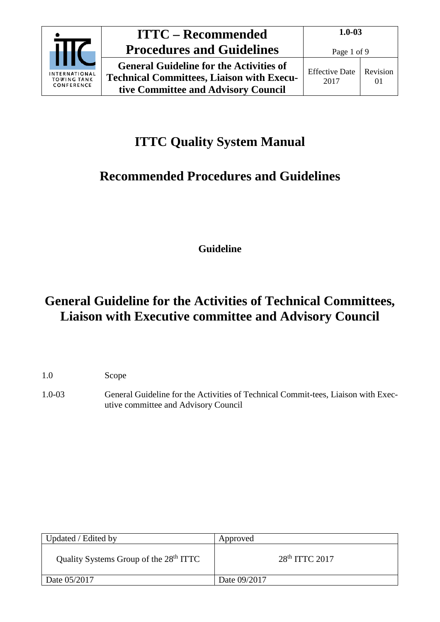

# **ITTC Quality System Manual**

# **Recommended Procedures and Guidelines**

**Guideline**

# **General Guideline for the Activities of Technical Committees, Liaison with Executive committee and Advisory Council**

1.0 Scope

1.0-03 General Guideline for the Activities of Technical Commit-tees, Liaison with Executive committee and Advisory Council

| Updated / Edited by                                | Approved         |
|----------------------------------------------------|------------------|
| Quality Systems Group of the 28 <sup>th</sup> ITTC | $28th$ ITTC 2017 |
| Date 05/2017                                       | Date 09/2017     |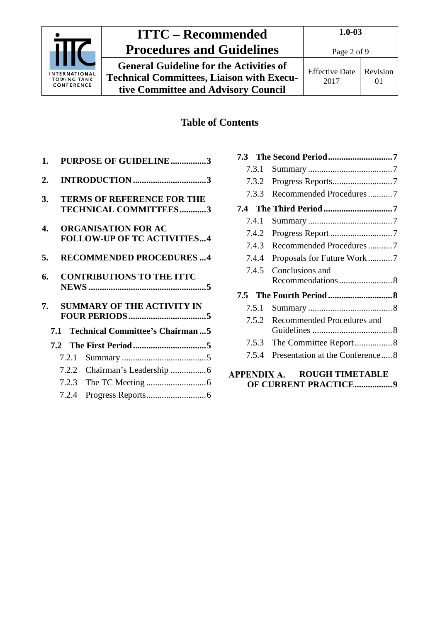

### **ITTC – Recommended Procedures and Guidelines**

**General Guideline for the Activities of Technical Committees, Liaison with Executive Committee and Advisory Council**

### Revision 01

### **Table of Contents**

| 1.               |       | <b>PURPOSE OF GUIDELINE3</b>                                      |
|------------------|-------|-------------------------------------------------------------------|
| $\overline{2}$ . |       |                                                                   |
| 3.               |       | <b>TERMS OF REFERENCE FOR THE</b><br><b>TECHNICAL COMMITTEES3</b> |
| 4.               |       | <b>ORGANISATION FOR AC</b><br><b>FOLLOW-UP OF TC ACTIVITIES4</b>  |
| 5.               |       | <b>RECOMMENDED PROCEDURES 4</b>                                   |
| 6.               |       | <b>CONTRIBUTIONS TO THE ITTC</b>                                  |
| 7.               |       | <b>SUMMARY OF THE ACTIVITY IN</b>                                 |
|                  |       | 7.1 Technical Committee's Chairman5                               |
|                  |       |                                                                   |
|                  | 7.2.1 |                                                                   |
|                  |       |                                                                   |
|                  | 7.2.2 |                                                                   |
|                  | 7.2.3 |                                                                   |

| 7.3.1       |                                 |
|-------------|---------------------------------|
| 7.3.2       |                                 |
| 7.3.3       | Recommended Procedures7         |
|             |                                 |
| 7.4.1       |                                 |
| 7.4.2       |                                 |
| 7.4.3       | Recommended Procedures7         |
| 7.4.4       | Proposals for Future Work7      |
| 7.4.5       | Conclusions and                 |
|             | Recommendations8                |
|             |                                 |
| 7.5.1       |                                 |
| 7.5.2       | Recommended Procedures and      |
|             |                                 |
| 7.5.3       | The Committee Report8           |
| 7.5.4       | Presentation at the Conference8 |
| APPENDIX A. | <b>ROUGH TIMETABLE</b>          |

#### **ROUGH TIM [OF CURRENT PRACTICE.................9](#page-8-0)**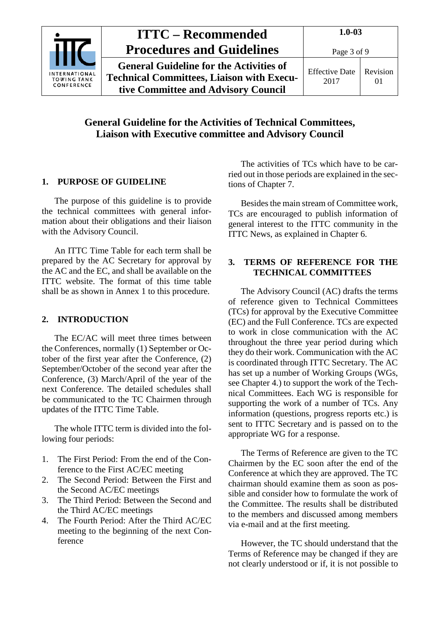

### **General Guideline for the Activities of Technical Committees, Liaison with Executive committee and Advisory Council**

#### <span id="page-2-0"></span>**1. PURPOSE OF GUIDELINE**

The purpose of this guideline is to provide the technical committees with general information about their obligations and their liaison with the Advisory Council.

An ITTC Time Table for each term shall be prepared by the AC Secretary for approval by the AC and the EC, and shall be available on the ITTC website. The format of this time table shall be as shown in Annex 1 to this procedure.

#### <span id="page-2-1"></span>**2. INTRODUCTION**

The EC/AC will meet three times between the Conferences, normally (1) September or October of the first year after the Conference, (2) September/October of the second year after the Conference, (3) March/April of the year of the next Conference. The detailed schedules shall be communicated to the TC Chairmen through updates of the ITTC Time Table.

The whole ITTC term is divided into the following four periods:

- 1. The First Period: From the end of the Conference to the First AC/EC meeting
- 2. The Second Period: Between the First and the Second AC/EC meetings
- 3. The Third Period: Between the Second and the Third AC/EC meetings
- 4. The Fourth Period: After the Third AC/EC meeting to the beginning of the next Conference

The activities of TCs which have to be carried out in those periods are explained in the sections of Chapter 7.

Besides the main stream of Committee work, TCs are encouraged to publish information of general interest to the ITTC community in the ITTC News, as explained in Chapter 6.

#### <span id="page-2-2"></span>**3. TERMS OF REFERENCE FOR THE TECHNICAL COMMITTEES**

The Advisory Council (AC) drafts the terms of reference given to Technical Committees (TCs) for approval by the Executive Committee (EC) and the Full Conference. TCs are expected to work in close communication with the AC throughout the three year period during which they do their work. Communication with the AC is coordinated through ITTC Secretary. The AC has set up a number of Working Groups (WGs, see Chapter 4.) to support the work of the Technical Committees. Each WG is responsible for supporting the work of a number of TCs. Any information (questions, progress reports etc.) is sent to ITTC Secretary and is passed on to the appropriate WG for a response.

The Terms of Reference are given to the TC Chairmen by the EC soon after the end of the Conference at which they are approved. The TC chairman should examine them as soon as possible and consider how to formulate the work of the Committee. The results shall be distributed to the members and discussed among members via e-mail and at the first meeting.

However, the TC should understand that the Terms of Reference may be changed if they are not clearly understood or if, it is not possible to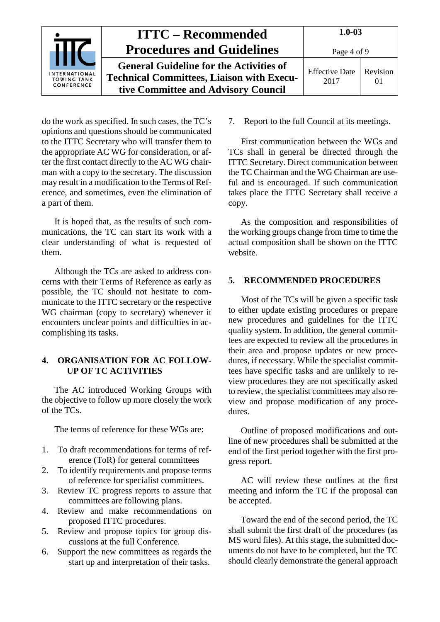|                                                          | <b>ITTC – Recommended</b>                        | $1.0 - 03$            |          |
|----------------------------------------------------------|--------------------------------------------------|-----------------------|----------|
|                                                          | <b>Procedures and Guidelines</b>                 | Page 4 of 9           |          |
|                                                          | <b>General Guideline for the Activities of</b>   | <b>Effective Date</b> | Revision |
| <b>INTERNATIONAL</b><br><b>TOWING TANK</b><br>CONFERENCE | <b>Technical Committees, Liaison with Execu-</b> | 2017                  |          |
|                                                          | tive Committee and Advisory Council              |                       |          |

do the work as specified. In such cases, the TC's opinions and questions should be communicated to the ITTC Secretary who will transfer them to the appropriate AC WG for consideration, or after the first contact directly to the AC WG chairman with a copy to the secretary. The discussion may result in a modification to the Terms of Reference, and sometimes, even the elimination of a part of them.

It is hoped that, as the results of such communications, the TC can start its work with a clear understanding of what is requested of them.

Although the TCs are asked to address concerns with their Terms of Reference as early as possible, the TC should not hesitate to communicate to the ITTC secretary or the respective WG chairman (copy to secretary) whenever it encounters unclear points and difficulties in accomplishing its tasks.

#### <span id="page-3-0"></span>**4. ORGANISATION FOR AC FOLLOW-UP OF TC ACTIVITIES**

The AC introduced Working Groups with the objective to follow up more closely the work of the TCs.

The terms of reference for these WGs are:

- 1. To draft recommendations for terms of reference (ToR) for general committees
- 2. To identify requirements and propose terms of reference for specialist committees.
- 3. Review TC progress reports to assure that committees are following plans.
- 4. Review and make recommendations on proposed ITTC procedures.
- 5. Review and propose topics for group discussions at the full Conference.
- 6. Support the new committees as regards the start up and interpretation of their tasks.

7. Report to the full Council at its meetings.

First communication between the WGs and TCs shall in general be directed through the ITTC Secretary. Direct communication between the TC Chairman and the WG Chairman are useful and is encouraged. If such communication takes place the ITTC Secretary shall receive a copy.

As the composition and responsibilities of the working groups change from time to time the actual composition shall be shown on the ITTC website.

#### <span id="page-3-1"></span>**5. RECOMMENDED PROCEDURES**

Most of the TCs will be given a specific task to either update existing procedures or prepare new procedures and guidelines for the ITTC quality system. In addition, the general committees are expected to review all the procedures in their area and propose updates or new procedures, if necessary. While the specialist committees have specific tasks and are unlikely to review procedures they are not specifically asked to review, the specialist committees may also review and propose modification of any procedures.

Outline of proposed modifications and outline of new procedures shall be submitted at the end of the first period together with the first progress report.

AC will review these outlines at the first meeting and inform the TC if the proposal can be accepted.

Toward the end of the second period, the TC shall submit the first draft of the procedures (as MS word files). At this stage, the submitted documents do not have to be completed, but the TC should clearly demonstrate the general approach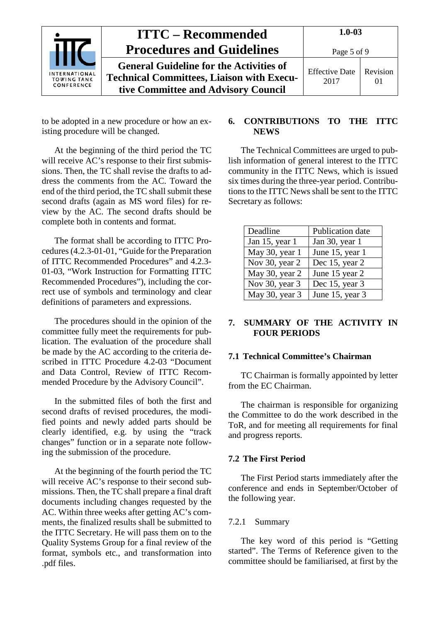|                                                          | <b>ITTC – Recommended</b>                        | $1.0 - 03$            |          |
|----------------------------------------------------------|--------------------------------------------------|-----------------------|----------|
|                                                          | <b>Procedures and Guidelines</b>                 | Page 5 of 9           |          |
|                                                          | <b>General Guideline for the Activities of</b>   | <b>Effective Date</b> | Revision |
| <b>INTERNATIONAL</b><br><b>TOWING TANK</b><br>CONFERENCE | <b>Technical Committees, Liaison with Execu-</b> | 2017                  | $\Omega$ |
|                                                          | tive Committee and Advisory Council              |                       |          |

to be adopted in a new procedure or how an existing procedure will be changed.

At the beginning of the third period the TC will receive AC's response to their first submissions. Then, the TC shall revise the drafts to address the comments from the AC. Toward the end of the third period, the TC shall submit these second drafts (again as MS word files) for review by the AC. The second drafts should be complete both in contents and format.

The format shall be according to ITTC Procedures (4.2.3-01-01, "Guide for the Preparation of ITTC Recommended Procedures" and 4.2.3- 01-03, "Work Instruction for Formatting ITTC Recommended Procedures"), including the correct use of symbols and terminology and clear definitions of parameters and expressions.

The procedures should in the opinion of the committee fully meet the requirements for publication. The evaluation of the procedure shall be made by the AC according to the criteria described in ITTC Procedure 4.2-03 "Document and Data Control, Review of ITTC Recommended Procedure by the Advisory Council".

In the submitted files of both the first and second drafts of revised procedures, the modified points and newly added parts should be clearly identified, e.g. by using the "track changes" function or in a separate note following the submission of the procedure.

At the beginning of the fourth period the TC will receive AC's response to their second submissions. Then, the TC shall prepare a final draft documents including changes requested by the AC. Within three weeks after getting AC's comments, the finalized results shall be submitted to the ITTC Secretary. He will pass them on to the Quality Systems Group for a final review of the format, symbols etc., and transformation into .pdf files.

#### <span id="page-4-0"></span>**6. CONTRIBUTIONS TO THE ITTC NEWS**

The Technical Committees are urged to publish information of general interest to the ITTC community in the ITTC News, which is issued six times during the three-year period. Contributions to the ITTC News shall be sent to the ITTC Secretary as follows:

| Deadline       | Publication date |
|----------------|------------------|
| Jan 15, year 1 | Jan 30, year 1   |
| May 30, year 1 | June 15, year 1  |
| Nov 30, year 2 | Dec 15, year 2   |
| May 30, year 2 | June 15 year 2   |
| Nov 30, year 3 | Dec 15, year 3   |
| May 30, year 3 | June 15, year 3  |

#### <span id="page-4-1"></span>**7. SUMMARY OF THE ACTIVITY IN FOUR PERIODS**

#### <span id="page-4-2"></span>**7.1 Technical Committee's Chairman**

TC Chairman is formally appointed by letter from the EC Chairman.

The chairman is responsible for organizing the Committee to do the work described in the ToR, and for meeting all requirements for final and progress reports.

#### <span id="page-4-3"></span>**7.2 The First Period**

The First Period starts immediately after the conference and ends in September/October of the following year.

#### <span id="page-4-4"></span>7.2.1 Summary

The key word of this period is "Getting started". The Terms of Reference given to the committee should be familiarised, at first by the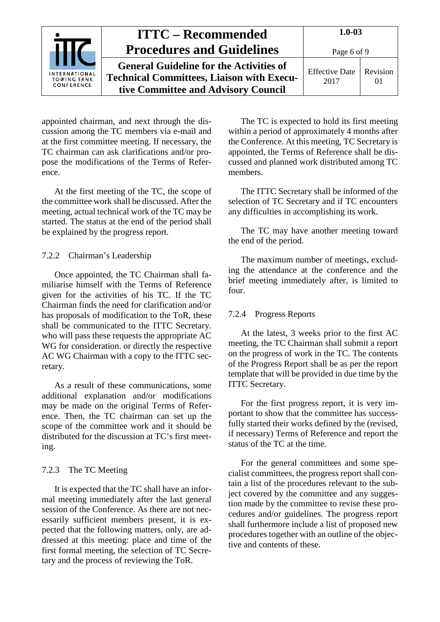|                                                          | <b>ITTC – Recommended</b>                                                                                                                 | $1.0 - 03$                    |                      |
|----------------------------------------------------------|-------------------------------------------------------------------------------------------------------------------------------------------|-------------------------------|----------------------|
|                                                          | <b>Procedures and Guidelines</b>                                                                                                          | Page 6 of 9                   |                      |
| <b>INTERNATIONAL</b><br><b>TOWING TANK</b><br>CONFERENCE | <b>General Guideline for the Activities of</b><br><b>Technical Committees, Liaison with Execu-</b><br>tive Committee and Advisory Council | <b>Effective Date</b><br>2017 | Revision<br>$\Omega$ |

appointed chairman, and next through the discussion among the TC members via e-mail and at the first committee meeting. If necessary, the TC chairman can ask clarifications and/or propose the modifications of the Terms of Reference.

At the first meeting of the TC, the scope of the committee work shall be discussed. After the meeting, actual technical work of the TC may be started. The status at the end of the period shall be explained by the progress report.

#### <span id="page-5-0"></span>7.2.2 Chairman's Leadership

Once appointed, the TC Chairman shall familiarise himself with the Terms of Reference given for the activities of his TC. If the TC Chairman finds the need for clarification and/or has proposals of modification to the ToR, these shall be communicated to the ITTC Secretary. who will pass these requests the appropriate AC WG for consideration. or directly the respective AC WG Chairman with a copy to the ITTC secretary.

As a result of these communications, some additional explanation and/or modifications may be made on the original Terms of Reference. Then, the TC chairman can set up the scope of the committee work and it should be distributed for the discussion at TC's first meeting.

#### <span id="page-5-1"></span>7.2.3 The TC Meeting

It is expected that the TC shall have an informal meeting immediately after the last general session of the Conference. As there are not necessarily sufficient members present, it is expected that the following matters, only, are addressed at this meeting: place and time of the first formal meeting, the selection of TC Secretary and the process of reviewing the ToR.

The TC is expected to hold its first meeting within a period of approximately 4 months after the Conference. At this meeting, TC Secretary is appointed, the Terms of Reference shall be discussed and planned work distributed among TC members.

The ITTC Secretary shall be informed of the selection of TC Secretary and if TC encounters any difficulties in accomplishing its work.

The TC may have another meeting toward the end of the period.

The maximum number of meetings, excluding the attendance at the conference and the brief meeting immediately after, is limited to four.

#### <span id="page-5-2"></span>7.2.4 Progress Reports

At the latest, 3 weeks prior to the first AC meeting, the TC Chairman shall submit a report on the progress of work in the TC. The contents of the Progress Report shall be as per the report template that will be provided in due time by the ITTC Secretary.

For the first progress report, it is very important to show that the committee has successfully started their works defined by the (revised, if necessary) Terms of Reference and report the status of the TC at the time.

For the general committees and some specialist committees, the progress report shall contain a list of the procedures relevant to the subject covered by the committee and any suggestion made by the committee to revise these procedures and/or guidelines. The progress report shall furthermore include a list of proposed new procedures together with an outline of the objective and contents of these.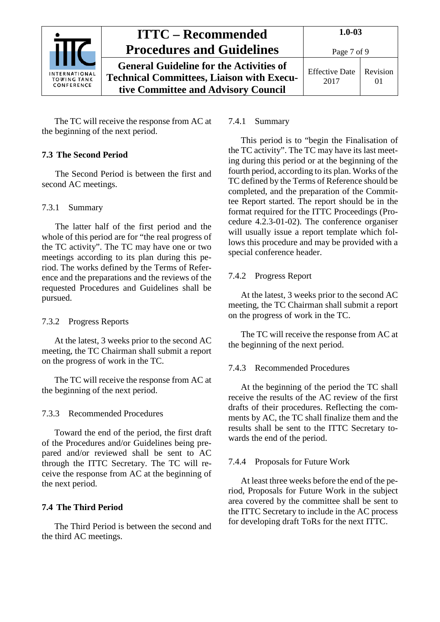|                                                          | <b>ITTC – Recommended</b>                        | $1.0 - 03$            |          |
|----------------------------------------------------------|--------------------------------------------------|-----------------------|----------|
|                                                          | <b>Procedures and Guidelines</b>                 | Page 7 of 9           |          |
|                                                          | <b>General Guideline for the Activities of</b>   | <b>Effective Date</b> | Revision |
| <b>INTERNATIONAL</b><br><b>TOWING TANK</b><br>CONFERENCE | <b>Technical Committees, Liaison with Execu-</b> | 2017                  | 01       |
|                                                          | tive Committee and Advisory Council              |                       |          |

The TC will receive the response from AC at the beginning of the next period.

#### <span id="page-6-0"></span>**7.3 The Second Period**

The Second Period is between the first and second AC meetings.

#### <span id="page-6-1"></span>7.3.1 Summary

The latter half of the first period and the whole of this period are for "the real progress of the TC activity". The TC may have one or two meetings according to its plan during this period. The works defined by the Terms of Reference and the preparations and the reviews of the requested Procedures and Guidelines shall be pursued.

#### <span id="page-6-2"></span>7.3.2 Progress Reports

At the latest, 3 weeks prior to the second AC meeting, the TC Chairman shall submit a report on the progress of work in the TC.

The TC will receive the response from AC at the beginning of the next period.

#### <span id="page-6-3"></span>7.3.3 Recommended Procedures

Toward the end of the period, the first draft of the Procedures and/or Guidelines being prepared and/or reviewed shall be sent to AC through the ITTC Secretary. The TC will receive the response from AC at the beginning of the next period.

#### <span id="page-6-4"></span>**7.4 The Third Period**

The Third Period is between the second and the third AC meetings.

#### <span id="page-6-5"></span>7.4.1 Summary

This period is to "begin the Finalisation of the TC activity". The TC may have its last meeting during this period or at the beginning of the fourth period, according to its plan. Works of the TC defined by the Terms of Reference should be completed, and the preparation of the Committee Report started. The report should be in the format required for the ITTC Proceedings (Procedure 4.2.3-01-02). The conference organiser will usually issue a report template which follows this procedure and may be provided with a special conference header.

#### <span id="page-6-6"></span>7.4.2 Progress Report

At the latest, 3 weeks prior to the second AC meeting, the TC Chairman shall submit a report on the progress of work in the TC.

The TC will receive the response from AC at the beginning of the next period.

#### <span id="page-6-7"></span>7.4.3 Recommended Procedures

At the beginning of the period the TC shall receive the results of the AC review of the first drafts of their procedures. Reflecting the comments by AC, the TC shall finalize them and the results shall be sent to the ITTC Secretary towards the end of the period.

#### <span id="page-6-8"></span>7.4.4 Proposals for Future Work

At least three weeks before the end of the period, Proposals for Future Work in the subject area covered by the committee shall be sent to the ITTC Secretary to include in the AC process for developing draft ToRs for the next ITTC.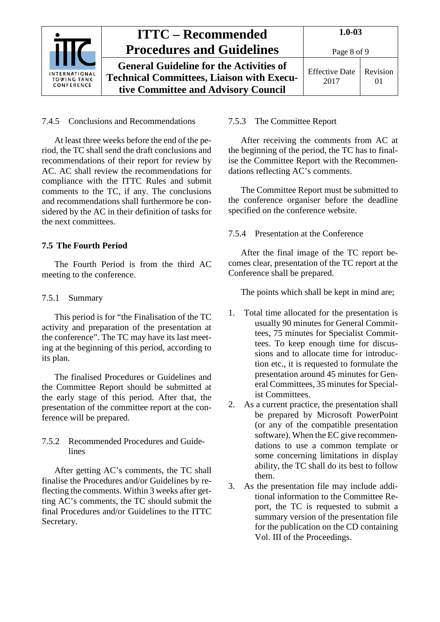|                                                          | <b>ITTC – Recommended</b>                        | $1.0 - 03$            |          |
|----------------------------------------------------------|--------------------------------------------------|-----------------------|----------|
|                                                          | <b>Procedures and Guidelines</b>                 | Page 8 of 9           |          |
|                                                          | <b>General Guideline for the Activities of</b>   | <b>Effective Date</b> | Revision |
| <b>INTERNATIONAL</b><br><b>TOWING TANK</b><br>CONFERENCE | <b>Technical Committees, Liaison with Execu-</b> | 2017                  |          |
|                                                          | tive Committee and Advisory Council              |                       |          |

#### <span id="page-7-0"></span>7.4.5 Conclusions and Recommendations

At least three weeks before the end of the period, the TC shall send the draft conclusions and recommendations of their report for review by AC. AC shall review the recommendations for compliance with the ITTC Rules and submit comments to the TC, if any. The conclusions and recommendations shall furthermore be considered by the AC in their definition of tasks for the next committees.

#### <span id="page-7-1"></span>**7.5 The Fourth Period**

The Fourth Period is from the third AC meeting to the conference.

#### <span id="page-7-2"></span>7.5.1 Summary

This period is for "the Finalisation of the TC activity and preparation of the presentation at the conference". The TC may have its last meeting at the beginning of this period, according to its plan.

The finalised Procedures or Guidelines and the Committee Report should be submitted at the early stage of this period. After that, the presentation of the committee report at the conference will be prepared.

#### <span id="page-7-3"></span>7.5.2 Recommended Procedures and Guidelines

After getting AC's comments, the TC shall finalise the Procedures and/or Guidelines by reflecting the comments. Within 3 weeks after getting AC's comments, the TC should submit the final Procedures and/or Guidelines to the ITTC Secretary.

#### <span id="page-7-4"></span>7.5.3 The Committee Report

After receiving the comments from AC at the beginning of the period, the TC has to finalise the Committee Report with the Recommendations reflecting AC's comments.

The Committee Report must be submitted to the conference organiser before the deadline specified on the conference website.

#### <span id="page-7-5"></span>7.5.4 Presentation at the Conference

After the final image of the TC report becomes clear, presentation of the TC report at the Conference shall be prepared.

The points which shall be kept in mind are;

- 1. Total time allocated for the presentation is usually 90 minutes for General Committees, 75 minutes for Specialist Committees. To keep enough time for discussions and to allocate time for introduction etc., it is requested to formulate the presentation around 45 minutes for General Committees, 35 minutes for Specialist Committees.
- 2. As a current practice, the presentation shall be prepared by Microsoft PowerPoint (or any of the compatible presentation software). When the EC give recommendations to use a common template or some concerning limitations in display ability, the TC shall do its best to follow them.
- 3. As the presentation file may include additional information to the Committee Report, the TC is requested to submit a summary version of the presentation file for the publication on the CD containing Vol. III of the Proceedings.